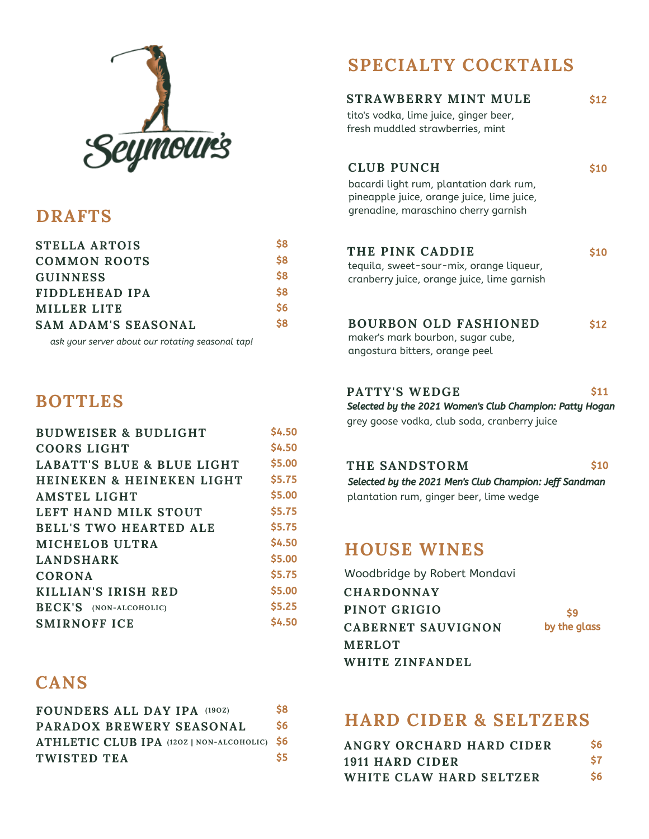

#### **DRAFTS**

| <b>STELLA ARTOIS</b>       | S8            |
|----------------------------|---------------|
| <b>COMMON ROOTS</b>        | \$8           |
| <b>GUINNESS</b>            | \$8           |
| FIDDLEHEAD IPA             | <b>S8</b>     |
| MILLER LITE                | $\mathsf{S6}$ |
| <b>SAM ADAM'S SEASONAL</b> | \$8           |

*ask your server about our rotating seasonal tap!*

#### **BOTTLES**

| <b>BUDWEISER &amp; BUDLIGHT</b>       | \$4.50 |
|---------------------------------------|--------|
| <b>COORS LIGHT</b>                    | \$4.50 |
| <b>LABATT'S BLUE &amp; BLUE LIGHT</b> | \$5.00 |
| <b>HEINEKEN &amp; HEINEKEN LIGHT</b>  | \$5.75 |
| <b>AMSTEL LIGHT</b>                   | \$5.00 |
| LEFT HAND MILK STOUT                  | \$5.75 |
| <b>BELL'S TWO HEARTED ALE</b>         | \$5.75 |
| MICHELOB ULTRA                        | \$4.50 |
| <b>LANDSHARK</b>                      | \$5.00 |
| <b>CORONA</b>                         | \$5.75 |
| KILLIAN'S IRISH RED                   | \$5.00 |
| <b>BECK'S</b> (NON-ALCOHOLIC)         | \$5.25 |
| <b>SMIRNOFF ICE</b>                   | \$4.50 |

#### **CANS**

| FOUNDERS ALL DAY IPA (190Z)                  | \$8 |
|----------------------------------------------|-----|
| PARADOX BREWERY SEASONAL                     | \$6 |
| ATHLETIC CLUB IPA (120Z   NON-ALCOHOLIC) \$6 |     |
| TWISTED TEA                                  | S5  |

## **SPECIALTY COCKTAILS**

| STRAWBERRY MINT MULE<br>tito's vodka, lime juice, ginger beer,<br>fresh muddled strawberries, mint                                                 | S12        |
|----------------------------------------------------------------------------------------------------------------------------------------------------|------------|
| <b>CLUB PUNCH</b><br>bacardi light rum, plantation dark rum,<br>pineapple juice, orange juice, lime juice,<br>grenadine, maraschino cherry garnish | S10        |
| THE PINK CADDIE<br>tequila, sweet-sour-mix, orange liqueur,<br>cranberry juice, orange juice, lime garnish                                         | <b>S10</b> |
| <b>BOURBON OLD FASHIONED</b><br>maker's mark bourbon, sugar cube,<br>angostura bitters, orange peel                                                | <b>S12</b> |

#### **PATTY'S WEDGE** \$11 Selected by the 2021 Women's Club Champion: Patty Hogan

grey goose vodka, club soda, cranberry juice

#### **THE SANDSTORM**

plantation rum, ginger beer, lime wedge Selected by the 2021 Men's Club Champion: Jeff Sandman

\$10

#### **HOUSE WINES**

Woodbridge by Robert Mondavi

| <b>CHARDONNAY</b>  |              |
|--------------------|--------------|
| PINOT GRIGIO       | \$9          |
| CABERNET SAUVIGNON | by the glass |
| <b>MERLOT</b>      |              |
| WHITE ZINFANDEL    |              |

#### **HARD CIDER & SELTZERS**

| ANGRY ORCHARD HARD CIDER | <b>S6</b> |
|--------------------------|-----------|
| 1911 HARD CIDER          |           |
| WHITE CLAW HARD SELTZER  | <b>S6</b> |